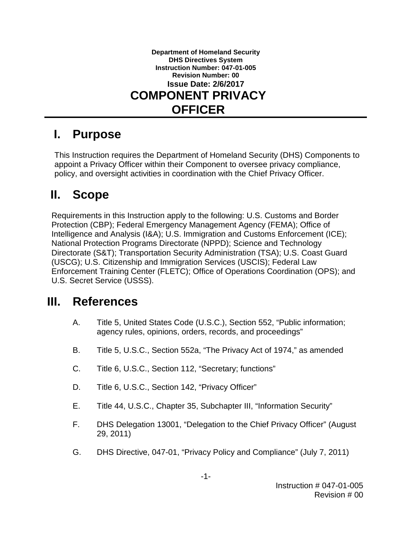

## **I. Purpose**

This Instruction requires the Department of Homeland Security (DHS) Components to appoint a Privacy Officer within their Component to oversee privacy compliance, policy, and oversight activities in coordination with the Chief Privacy Officer.

## **II. Scope**

Requirements in this Instruction apply to the following: U.S. Customs and Border Protection (CBP); Federal Emergency Management Agency (FEMA); Office of Intelligence and Analysis (I&A); U.S. Immigration and Customs Enforcement (ICE); National Protection Programs Directorate (NPPD); Science and Technology Directorate (S&T); Transportation Security Administration (TSA); U.S. Coast Guard (USCG); U.S. Citizenship and Immigration Services (USCIS); Federal Law Enforcement Training Center (FLETC); Office of Operations Coordination (OPS); and U.S. Secret Service (USSS).

## **III. References**

- A. Title 5, United States Code (U.S.C.), Section 552, "Public information; agency rules, opinions, orders, records, and proceedings"
- B. Title 5, U.S.C., Section 552a, "The Privacy Act of 1974," as amended
- C. Title 6, U.S.C., Section 112, "Secretary; functions"
- D. Title 6, U.S.C., Section 142, "Privacy Officer"
- E. Title 44, U.S.C., Chapter 35, Subchapter III, "Information Security"
- F. DHS Delegation 13001, "Delegation to the Chief Privacy Officer" (August 29, 2011)
- G. DHS Directive, 047-01, "Privacy Policy and Compliance" (July 7, 2011)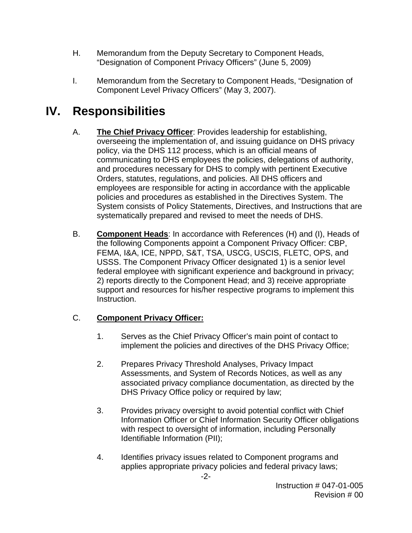- H. Memorandum from the Deputy Secretary to Component Heads, "Designation of Component Privacy Officers" (June 5, 2009)
- I. Memorandum from the Secretary to Component Heads, "Designation of Component Level Privacy Officers" (May 3, 2007).

# **IV. Responsibilities**

- A. **The Chief Privacy Officer**: Provides leadership for establishing, overseeing the implementation of, and issuing guidance on DHS privacy policy, via the DHS 112 process, which is an official means of communicating to DHS employees the policies, delegations of authority, and procedures necessary for DHS to comply with pertinent Executive Orders, statutes, regulations, and policies. All DHS officers and employees are responsible for acting in accordance with the applicable policies and procedures as established in the Directives System. The System consists of Policy Statements, Directives, and Instructions that are systematically prepared and revised to meet the needs of DHS.
- B. **Component Heads**: In accordance with References (H) and (I), Heads of the following Components appoint a Component Privacy Officer: CBP, FEMA, I&A, ICE, NPPD, S&T, TSA, USCG, USCIS, FLETC, OPS, and USSS. The Component Privacy Officer designated 1) is a senior level federal employee with significant experience and background in privacy; 2) reports directly to the Component Head; and 3) receive appropriate support and resources for his/her respective programs to implement this Instruction.

#### C. **Component Privacy Officer:**

- 1. Serves as the Chief Privacy Officer's main point of contact to implement the policies and directives of the DHS Privacy Office;
- 2. Prepares Privacy Threshold Analyses, Privacy Impact Assessments, and System of Records Notices, as well as any associated privacy compliance documentation, as directed by the DHS Privacy Office policy or required by law;
- 3. Provides privacy oversight to avoid potential conflict with Chief Information Officer or Chief Information Security Officer obligations with respect to oversight of information, including Personally Identifiable Information (PII);
- 4. Identifies privacy issues related to Component programs and applies appropriate privacy policies and federal privacy laws;